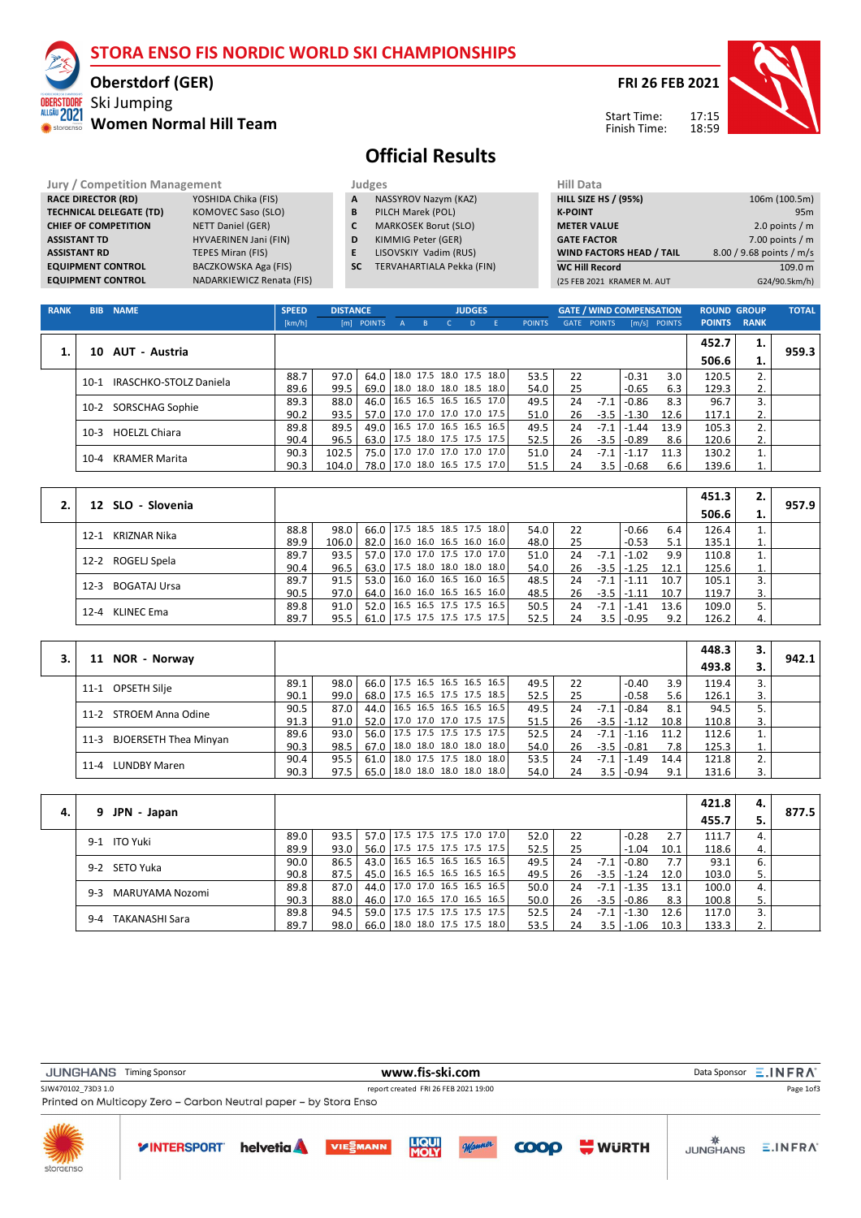# **STORA ENSO FIS NORDIC WORLD SKI CHAMPIONSHIPS**

## **Oberstdorf (GER)**

**Women Normal Hill Team**

Ski Jumping

ALLGÄU 2021 **WE** storage

## **FRI 26 FEB 2021**



Start Time: Finish Time:

# **Official Results**

**Jury / Competition Management data and Judges RACE DIRECTOR (RD)** YOSHIDA Chika (FIS) **A** NA **RACE DIRECTOR (RD)** YOSHIDA Chika (FIS)<br> **TECHNICAL DELEGATE (TD)** KOMOVEC Saso (SLO) **TECHNICAL DELEGATE (TD) CHIEF OF COMPETITION** NETT Daniel (GER) **ASSISTANT TD** HYVAERINEN Jani (FIN) **ASSISTANT RD TEPES Miran (FIS) EQUIPMENT CONTROL** BACZKOWSKA Aga (FIS) **EQUIPMENT CONTROL** NADARKIEWICZ Renata (FIS)

- **A** NASSYROV Nazym (KAZ)<br>**B** PILCH Marek (POL) **B** PILCH Marek (POL)
- **C** MARKOSEK Borut (SLO)
- **D** KIMMIG Peter (GER)
- **E** LISOVSKIY Vadim (RUS)
- **SC** TERVAHARTIALA Pekka (FIN)

| Hill Data                       |                          |
|---------------------------------|--------------------------|
| <b>HILL SIZE HS / (95%)</b>     | 106m (100.5m)            |
| <b>K-POINT</b>                  | 95 <sub>m</sub>          |
| <b>METER VALUE</b>              | 2.0 points $/m$          |
| <b>GATE FACTOR</b>              | 7.00 points $/m$         |
| <b>WIND FACTORS HEAD / TAIL</b> | 8.00 / 9.68 points / m/s |
| <b>WC Hill Record</b>           | 109.0 m                  |
| (25 FEB 2021 KRAMER M. AUT      | G24/90.5km/h)            |

| <b>RANK</b> | <b>BIB</b> | <b>NAME</b>            | <b>SPEED</b> | <b>DISTANCE</b> |                                 |       |                                      | <b>JUDGES</b> |               |    | <b>GATE / WIND COMPENSATION</b> |            |                | <b>ROUND GROUP</b> |    | <b>TOTAL</b> |
|-------------|------------|------------------------|--------------|-----------------|---------------------------------|-------|--------------------------------------|---------------|---------------|----|---------------------------------|------------|----------------|--------------------|----|--------------|
|             |            |                        | [km/h]       |                 | [m] POINTS                      | A B C |                                      | $\mathsf{D}$  | <b>POINTS</b> |    | <b>GATE POINTS</b>              |            | $[m/s]$ POINTS | <b>POINTS RANK</b> |    |              |
|             |            |                        |              |                 |                                 |       |                                      |               |               |    |                                 |            |                | 452.7              | 1. |              |
| 1.          | 10         | AUT - Austria          |              |                 |                                 |       |                                      |               |               |    |                                 |            |                | 506.6              | 1. | 959.3        |
|             | $10-1$     | IRASCHKO-STOLZ Daniela | 88.7         | 97.0            | 64.0   18.0 17.5 18.0 17.5 18.0 |       |                                      |               | 53.5          | 22 |                                 | $-0.31$    | 3.0            | 120.5              | 2. |              |
|             |            |                        | 89.6         | 99.5            | 69.0                            |       | $ 18.0 \t18.0 \t18.0 \t18.5 \t18.0 $ |               | 54.0          | 25 |                                 | $-0.65$    | 6.3            | 129.3              | 2. |              |
|             | $10-2$     | SORSCHAG Sophie        | 89.3         | 88.0            | 46.0   16.5 16.5 16.5 16.5 17.0 |       |                                      |               | 49.5          | 24 | $-7.1$                          | $-0.86$    | 8.3            | 96.7               | 3. |              |
|             |            |                        | 90.2         | 93.5            | 57.0                            |       | 17.0 17.0 17.0 17.0 17.5             |               | 51.0          | 26 | $-3.5$                          | $ -1.30$   | 12.6           | 117.1              | 2. |              |
|             | $10-3$     | <b>HOELZL Chiara</b>   | 89.8         | 89.5            | 49.0   16.5 17.0 16.5 16.5 16.5 |       |                                      |               | 49.5          | 24 | $-7.1$                          | $-1.44$    | 13.9           | 105.3              | 2. |              |
|             |            |                        | 90.4         | 96.5            | 63.0   17.5 18.0 17.5 17.5 17.5 |       |                                      |               | 52.5          | 26 | $-3.5$                          | $1 - 0.89$ | 8.6            | 120.6              | 2. |              |
|             | $10 - 4$   | KRAMER Marita          | 90.3         | 102.5           | 75.0 17.0 17.0 17.0 17.0 17.0   |       |                                      |               | 51.0          | 24 | $-7.1$                          | $1 - 1.17$ | 11.3           | 130.2              |    |              |
|             |            |                        | 90.3         | 104.0           | 78.0 17.0 18.0 16.5 17.5 17.0   |       |                                      |               | 51.5          | 24 | 3.5                             | $1 - 0.68$ | 6.6            | 139.6              |    |              |

|                          |      |       |                                 |  |      |    |        |                  |      | 451.3 | 2. |       |
|--------------------------|------|-------|---------------------------------|--|------|----|--------|------------------|------|-------|----|-------|
| 12 SLO - Slovenia        |      |       |                                 |  |      |    |        |                  |      | 506.6 | ı. | 957.9 |
| KRIZNAR Nika<br>$12 - 1$ | 88.8 | 98.0  | 66.0   17.5 18.5 18.5 17.5 18.0 |  | 54.0 | 22 |        | $-0.66$          | 6.4  | 126.4 | 1. |       |
|                          | 89.9 | 106.0 | 82.0   16.0 16.0 16.5 16.0 16.0 |  | 48.0 | 25 |        | $-0.53$          | 5.1  | 135.1 | 1. |       |
| 12-2 ROGELJ Spela        | 89.7 | 93.5  | 57.0   17.0 17.0 17.5 17.0 17.0 |  | 51.0 | 24 | $-7.1$ | -1.02            | 9.9  | 110.8 | 1. |       |
|                          | 90.4 | 96.5  | 63.0   17.5 18.0 18.0 18.0 18.0 |  | 54.0 | 26 |        | $-3.5$   $-1.25$ | 12.1 | 125.6 | 1. |       |
| BOGATAJ Ursa<br>$12 - 3$ | 89.7 | 91.5  | 53.0 16.0 16.0 16.5 16.0 16.5   |  | 48.5 | 24 | $-7.1$ | $1 - 1.11$       | 10.7 | 105.1 | 3. |       |
|                          | 90.5 | 97.0  | 64.0   16.0 16.0 16.5 16.5 16.0 |  | 48.5 | 26 |        | $-3.5$ $-1.11$   | 10.7 | 119.7 | 3. |       |
| 12-4 KLINEC Ema          | 89.8 | 91.0  | 52.0   16.5 16.5 17.5 17.5 16.5 |  | 50.5 | 24 | $-7.1$ | $1 - 1.41$       | 13.6 | 109.0 |    |       |
|                          | 89.7 | 95.5  | 61.0   17.5 17.5 17.5 17.5 17.5 |  | 52.5 | 24 |        | $3.5$   -0.95    | 9.2  | 126.2 | 4. |       |

|                                      |      |      |  |  |                                 |      |    |        |                |      | 448.3 | з. |       |
|--------------------------------------|------|------|--|--|---------------------------------|------|----|--------|----------------|------|-------|----|-------|
| NOR - Norway<br>11                   |      |      |  |  |                                 |      |    |        |                |      | 493.8 |    | 942.1 |
| OPSETH Silje<br>11-1                 | 89.1 | 98.0 |  |  | 66.0   17.5 16.5 16.5 16.5 16.5 | 49.5 | 22 |        | $-0.40$        | 3.9  | 119.4 |    |       |
|                                      | 90.1 | 99.0 |  |  | 68.0   17.5 16.5 17.5 17.5 18.5 | 52.5 | 25 |        | $-0.58$        | 5.6  | 126.1 | 3. |       |
| 11-2 STROEM Anna Odine               | 90.5 | 87.0 |  |  | 44.0   16.5 16.5 16.5 16.5 16.5 | 49.5 | 24 | $-7.1$ | $-0.84$        | 8.1  | 94.5  |    |       |
|                                      | 91.3 | 91.0 |  |  | 52.0 17.0 17.0 17.0 17.5 17.5   | 51.5 | 26 |        | $-3.5$ $-1.12$ | 10.8 | 110.8 | 3. |       |
| <b>BJOERSETH Thea Minyan</b><br>11-3 | 89.6 | 93.0 |  |  | 56.0   17.5 17.5 17.5 17.5 17.5 | 52.5 | 24 | -7.1   | $-1.16$        | 11.2 | 112.6 |    |       |
|                                      | 90.3 | 98.5 |  |  | 67.0   18.0 18.0 18.0 18.0 18.0 | 54.0 | 26 |        | $-3.5$ $-0.81$ | 7.8  | 125.3 |    |       |
| <b>LUNDBY Maren</b><br>$11 - 4$      | 90.4 | 95.5 |  |  | 61.0   18.0 17.5 17.5 18.0 18.0 | 53.5 | 24 | $-7.1$ | $-1.49$        | 14.4 | 121.8 |    |       |
|                                      | 90.3 | 97.5 |  |  | 65.0   18.0 18.0 18.0 18.0 18.0 | 54.0 | 24 |        | $3.5$   -0.94  | 9.1  | 131.6 | 3. |       |

|    |                            |      |      |  |  |                                 |      |    |        |                  |      | 421.8 | 4. |       |
|----|----------------------------|------|------|--|--|---------------------------------|------|----|--------|------------------|------|-------|----|-------|
| 4. | JPN - Japan                |      |      |  |  |                                 |      |    |        |                  |      | 455.7 |    | 877.5 |
|    | 9-1 ITO Yuki               | 89.0 | 93.5 |  |  | 57.0 17.5 17.5 17.5 17.0 17.0   | 52.0 | 22 |        | $-0.28$          | 2.7  | 111.7 | 4. |       |
|    |                            | 89.9 | 93.0 |  |  | 56.0   17.5 17.5 17.5 17.5 17.5 | 52.5 | 25 |        | $-1.04$          | 10.1 | 118.6 | 4. |       |
|    | 9-2 SETO Yuka              | 90.0 | 86.5 |  |  | 43.0   16.5 16.5 16.5 16.5 16.5 | 49.5 | 24 | $-7.1$ | $ -0.80$         | 7.7  | 93.1  | 6. |       |
|    |                            | 90.8 | 87.5 |  |  | 45.0   16.5 16.5 16.5 16.5 16.5 | 49.5 | 26 |        | $-3.5$   $-1.24$ | 12.0 | 103.0 | 5. |       |
|    | MARUYAMA Nozomi<br>$9 - 3$ | 89.8 | 87.0 |  |  | 44.0   17.0 17.0 16.5 16.5 16.5 | 50.0 | 24 | -7.1   | $ -1.35$         | 13.1 | 100.0 | 4. |       |
|    |                            | 90.3 | 88.0 |  |  | 46.0   17.0 16.5 17.0 16.5 16.5 | 50.0 | 26 |        | $-3.5$ $-0.86$   | 8.3  | 100.8 | 5. |       |
|    | TAKANASHI Sara<br>$9 - 4$  | 89.8 | 94.5 |  |  | 59.0   17.5 17.5 17.5 17.5 17.5 | 52.5 | 24 | $-7.1$ | $ -1.30$         | 12.6 | 117.0 |    |       |
|    |                            | 89.7 | 98.0 |  |  | 66.0   18.0 18.0 17.5 17.5 18.0 | 53.5 | 24 |        | $3.5$   -1.06    | 10.3 | 133.3 | 2. |       |

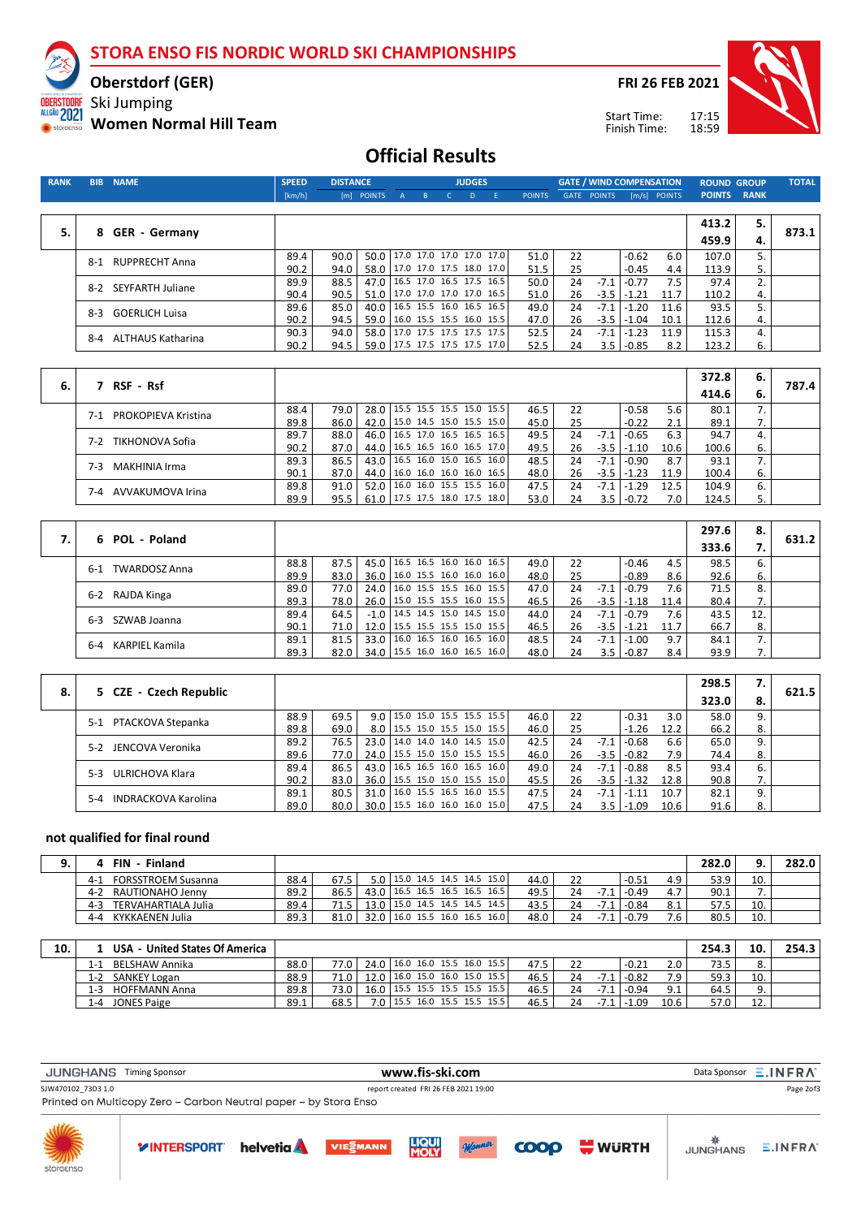**STORA ENSO FIS NORDIC WORLD SKI CHAMPIONSHIPS**

**Oberstdorf (GER)**

Ski Jumping

ALLGÄU 2021

**Women Normal Hill Team**

**FRI 26 FEB 2021**

Start Time: Finish Time:



## **Official Results**

| <b>RANK</b> | <b>BIB</b> | <b>NAME</b>             | <b>SPEED</b> | <b>DISTANCE</b> |                               |                          |                                                      |              | <b>JUDGES</b> |               |          |                    | <b>GATE / WIND COMPENSATION</b> |                | <b>ROUND GROUP</b> |             | <b>TOTAL</b> |
|-------------|------------|-------------------------|--------------|-----------------|-------------------------------|--------------------------|------------------------------------------------------|--------------|---------------|---------------|----------|--------------------|---------------------------------|----------------|--------------------|-------------|--------------|
|             |            |                         | [km/h]       |                 | [m] POINTS                    | $\mathsf{A}$             | B                                                    | $\mathsf{C}$ | D             | <b>POINTS</b> |          | <b>GATE POINTS</b> |                                 | $[m/s]$ POINTS | <b>POINTS</b>      | <b>RANK</b> |              |
|             |            |                         |              |                 |                               |                          |                                                      |              |               |               |          |                    |                                 |                |                    |             |              |
|             |            |                         |              |                 |                               |                          |                                                      |              |               |               |          |                    |                                 |                | 413.2              | 5.          |              |
| 5.          |            | 8 GER - Germany         |              |                 |                               |                          |                                                      |              |               |               |          |                    |                                 |                | 459.9              | 4.          | 873.1        |
|             |            |                         | 89.4         | 90.0            | 50.0                          |                          | 17.0 17.0 17.0 17.0 17.0                             |              |               | 51.0          | 22       |                    | $-0.62$                         | 6.0            | 107.0              | 5.          |              |
|             |            | 8-1 RUPPRECHT Anna      | 90.2         | 94.0            | 58.0                          |                          | 17.0 17.0 17.5 18.0 17.0                             |              |               | 51.5          | 25       |                    | $-0.45$                         | 4.4            | 113.9              | 5.          |              |
|             |            | 8-2 SEYFARTH Juliane    | 89.9         | 88.5            | 47.0                          |                          | 16.5 17.0 16.5 17.5 16.5                             |              |               | 50.0          | 24       | $-7.1$             | $-0.77$                         | 7.5            | 97.4               | 2.          |              |
|             |            |                         | 90.4         | 90.5            | 51.0                          |                          | 17.0 17.0 17.0 17.0 16.5                             |              |               | 51.0          | 26       | $-3.5$             | $-1.21$                         | 11.7           | 110.2              | 4.          |              |
|             | 8-3        | <b>GOERLICH Luisa</b>   | 89.6         | 85.0            | 40.0                          |                          | 16.5 15.5 16.0 16.5 16.5                             |              |               | 49.0          | 24       | $-7.1$             | $-1.20$                         | 11.6           | 93.5               | 5.          |              |
|             |            |                         | 90.2         | 94.5            | 59.0                          | 17.0 17.5 17.5 17.5 17.5 | 16.0 15.5 15.5 16.0 15.5                             |              |               | 47.0          | 26       | $-3.5$<br>$-7.1$   | $-1.04$                         | 10.1           | 112.6              | 4.          |              |
|             |            | 8-4 ALTHAUS Katharina   | 90.3<br>90.2 | 94.0<br>94.5    | 58.0<br>59.0                  |                          | 17.5 17.5 17.5 17.5 17.0                             |              |               | 52.5<br>52.5  | 24<br>24 | 3.5                | $-1.23$<br>$-0.85$              | 11.9<br>8.2    | 115.3<br>123.2     | 4.<br>6.    |              |
|             |            |                         |              |                 |                               |                          |                                                      |              |               |               |          |                    |                                 |                |                    |             |              |
|             |            |                         |              |                 |                               |                          |                                                      |              |               |               |          |                    |                                 |                |                    |             |              |
| 6.          |            | 7 RSF - Rsf             |              |                 |                               |                          |                                                      |              |               |               |          |                    |                                 |                | 372.8              | 6.          | 787.4        |
|             |            |                         |              |                 |                               |                          |                                                      |              |               |               |          |                    |                                 |                | 414.6              | 6.          |              |
|             |            | 7-1 PROKOPIEVA Kristina | 88.4         | 79.0            | 28.0                          |                          | 15.5 15.5 15.5 15.0 15.5                             |              |               | 46.5          | 22       |                    | $-0.58$                         | 5.6            | 80.1               | 7.          |              |
|             |            |                         | 89.8         | 86.0            | 42.0                          |                          | 15.0 14.5 15.0 15.5 15.0                             |              |               | 45.0          | 25       |                    | $-0.22$                         | 2.1            | 89.1               | 7.          |              |
|             |            | 7-2 TIKHONOVA Sofia     | 89.7         | 88.0            | 46.0                          |                          | 16.5 17.0 16.5 16.5 16.5                             |              |               | 49.5          | 24       | $-7.1$             | $-0.65$                         | 6.3            | 94.7               | 4.          |              |
|             |            |                         | 90.2<br>89.3 | 87.0<br>86.5    | 44.0<br>43.0                  |                          | 16.5 16.5 16.0 16.5 17.0<br>16.5 16.0 15.0 16.5 16.0 |              |               | 49.5<br>48.5  | 26<br>24 | $-3.5$<br>$-7.1$   | $-1.10$<br>$-0.90$              | 10.6<br>8.7    | 100.6<br>93.1      | 6.<br>7.    |              |
|             | 7-3        | <b>MAKHINIA Irma</b>    | 90.1         | 87.0            | 44.0                          |                          | 16.0 16.0 16.0 16.0 16.5                             |              |               | 48.0          | 26       | $-3.5$             | $-1.23$                         | 11.9           | 100.4              | 6.          |              |
|             |            |                         | 89.8         | 91.0            | 52.0                          |                          | 16.0 16.0 15.5 15.5 16.0                             |              |               | 47.5          | 24       | $-7.1$             | $-1.29$                         | 12.5           | 104.9              | 6.          |              |
|             |            | 7-4 AVVAKUMOVA Irina    | 89.9         | 95.5            | 61.0                          |                          | 17.5 17.5 18.0 17.5 18.0                             |              |               | 53.0          | 24       | 3.5                | $-0.72$                         | 7.0            | 124.5              | 5.          |              |
|             |            |                         |              |                 |                               |                          |                                                      |              |               |               |          |                    |                                 |                |                    |             |              |
|             |            |                         |              |                 |                               |                          |                                                      |              |               |               |          |                    |                                 |                | 297.6              | 8.          |              |
| 7.          |            | 6 POL - Poland          |              |                 |                               |                          |                                                      |              |               |               |          |                    |                                 |                | 333.6              | 7.          | 631.2        |
|             |            |                         |              |                 |                               |                          |                                                      |              |               |               |          |                    |                                 |                |                    |             |              |
|             |            | 6-1 TWARDOSZ Anna       | 88.8         | 87.5            | 45.0                          |                          | 16.5 16.5 16.0 16.0 16.5<br>16.0 15.5 16.0 16.0 16.0 |              |               | 49.0          | 22       |                    | $-0.46$                         | 4.5            | 98.5               | 6.          |              |
|             |            |                         | 89.9<br>89.0 | 83.0<br>77.0    | 36.0<br>24.0                  |                          | 16.0 15.5 15.5 16.0 15.5                             |              |               | 48.0<br>47.0  | 25<br>24 | $-7.1$             | $-0.89$<br>$-0.79$              | 8.6<br>7.6     | 92.6<br>71.5       | 6.<br>8.    |              |
|             |            | 6-2 RAJDA Kinga         | 89.3         | 78.0            | 26.0                          |                          | 15.0 15.5 15.5 16.0 15.5                             |              |               | 46.5          | 26       | $-3.5$             | $-1.18$                         | 11.4           | 80.4               | 7.          |              |
|             |            |                         | 89.4         | 64.5            | $-1.0$                        |                          | 14.5 14.5 15.0 14.5 15.0                             |              |               | 44.0          | 24       | $-7.1$             | $-0.79$                         | 7.6            | 43.5               | 12.         |              |
|             | 6-3        | SZWAB Joanna            | 90.1         | 71.0            | 12.0                          |                          | 15.5 15.5 15.5 15.0 15.5                             |              |               | 46.5          | 26       | $-3.5$             | $-1.21$                         | 11.7           | 66.7               | 8.          |              |
|             |            | 6-4 KARPIEL Kamila      | 89.1         | 81.5            | 33.0                          |                          | 16.0 16.5 16.0 16.5 16.0                             |              |               | 48.5          | 24       | $-7.1$             | $-1.00$                         | 9.7            | 84.1               | 7.          |              |
|             |            |                         | 89.3         | 82.0            | 34.0                          |                          | 15.5 16.0 16.0 16.5 16.0                             |              |               | 48.0          | 24       | 3.5                | $-0.87$                         | 8.4            | 93.9               | 7.          |              |
|             |            |                         |              |                 |                               |                          |                                                      |              |               |               |          |                    |                                 |                |                    |             |              |
|             |            |                         |              |                 |                               |                          |                                                      |              |               |               |          |                    |                                 |                | 298.5              | 7.          |              |
| 8.          |            | 5 CZE - Czech Republic  |              |                 |                               |                          |                                                      |              |               |               |          |                    |                                 |                | 323.0              | 8.          | 621.5        |
|             |            |                         | 88.9         | 69.5            | 9.0                           |                          | 15.0 15.0 15.5 15.5 15.5                             |              |               | 46.0          | 22       |                    | $-0.31$                         | 3.0            | 58.0               | 9.          |              |
|             |            | 5-1 PTACKOVA Stepanka   | 89.8         | 69.0            | 8.0                           |                          | 15.5 15.0 15.5 15.0 15.5                             |              |               | 46.0          | 25       |                    | $-1.26$                         | 12.2           | 66.2               | 8.          |              |
|             |            |                         | 89.2         | 76.5            | 23.0                          | 14.0                     | 14.0 14.0 14.5 15.0                                  |              |               | 42.5          | 24       | $-7.1$             | $-0.68$                         | 6.6            | 65.0               | 9.          |              |
|             |            | 5-2 JENCOVA Veronika    | 89.6         | 77.0            | 24.0                          |                          | 15.5 15.0 15.0 15.5 15.5                             |              |               | 46.0          | 26       | $-3.5$             | $-0.82$                         | 7.9            | 74.4               | 8.          |              |
|             |            | 5-3 ULRICHOVA Klara     | 89.4         | 86.5            | 43.0                          |                          | 16.5 16.5 16.0 16.5 16.0                             |              |               | 49.0          | 24       | $-7.1$             | $-0.88$                         | 8.5            | 93.4               | 6.          |              |
|             |            |                         | 90.2         | 83.0            | 36.0                          |                          | 15.5 15.0 15.0 15.5 15.0                             |              |               | 45.5          | 26       | $-3.5$             | $-1.32$                         | 12.8           | 90.8               | 7.          |              |
|             |            | 5-4 INDRACKOVA Karolina | 89.1         | 80.5            | 31.0                          |                          | 16.0 15.5 16.5 16.0 15.5                             |              |               | 47.5          | 24       | $-7.1$             | $-1.11$                         | 10.7           | 82.1               | 9.          |              |
|             |            |                         | 89.0         | 80.0            | 30.0 15.5 16.0 16.0 16.0 15.0 |                          |                                                      |              |               | 47.5          | 24       | 3.5                | $-1.09$                         | 10.6           | 91.6               | 8.          |              |

#### **not qualified for final round**

|         | Finland<br><b>FIN</b>     |      |      |       |  |                                 |      |    |        |         |     | 282.0   |     | 282.0 |
|---------|---------------------------|------|------|-------|--|---------------------------------|------|----|--------|---------|-----|---------|-----|-------|
| $4 - 1$ | <b>FORSSTROEM Susanna</b> | 88.4 | 67.5 | 5.O l |  | 15.0 14.5 14.5 14.5 15.0        | 44.0 | 22 |        | $-0.51$ | 4.9 | 53.9    | 10. |       |
| $4 - 2$ | RAUTIONAHO Jenny          | 89.2 | 86.5 |       |  | 43.0   16.5 16.5 16.5 16.5 16.5 | 49.5 |    |        | $-0.49$ |     | 90.1    |     |       |
| $4 - 3$ | TERVAHARTIALA Julia       | 89.4 | 71   | 13.0  |  | 15.0 14.5 14.5 14.5 14.5        | 43.5 | 24 | $-7.1$ | $-0.84$ | ـ ت | . ، ، ، | 10. |       |
| $4 - 4$ | KYKKAENEN Julia           | 89.3 | 81.0 | 32.0  |  | $16.0$ 15.5 16.0 16.5 16.0      | 48.0 | 24 | $-7.1$ | $-0.79$ |     | 80.5    | 10. |       |

| 10. | USA - United States Of America |      |      |      |                                      |  |      |    |       |         |      | 254.3 | 10       | 254.3 |
|-----|--------------------------------|------|------|------|--------------------------------------|--|------|----|-------|---------|------|-------|----------|-------|
|     | BELSHAW Annika<br>l - 1        | 88.0 | 77.0 |      | 24.0   16.0 16.0 15.5 16.0 15.5      |  | 47.5 | 22 |       | $-0.21$ | 2.0  | 73.5  |          |       |
|     | SANKEY Logan<br>1-2            | 88.9 | 71.0 |      | $16.0$ 15.0 16.0 15.0 15.5           |  | 46.5 | 24 |       | $-0.82$ | ہ 7  | 59.3  | 10.      |       |
|     | <b>HOFFMANN Anna</b><br>1-3    | 89.8 | 73.0 | 16.0 | 15.5 15.5 15.5 15.5 15.5             |  | 46.5 | 24 | -7.1  | l -0.94 | 9.1  | 64.5  |          |       |
|     | <b>JONES Paige</b><br>$1 - 4$  | 89.1 | 68.5 | 7 N  | $ 15.5 \t16.0 \t15.5 \t15.5 \t15.5 $ |  | 46.5 | 24 | - 1 - | 1.09    | 10.6 | 57.0  | <u>.</u> |       |

| <b>JUNGHANS</b>           | <b>Timing Sponsor</b>                                            |                   |                 | www.fis-ski.com                      |        |             |              |                 | Data Sponsor $\Xi$ . INFRA <sup>®</sup> |
|---------------------------|------------------------------------------------------------------|-------------------|-----------------|--------------------------------------|--------|-------------|--------------|-----------------|-----------------------------------------|
| SJW470102 73D3 1.0        |                                                                  |                   |                 | report created FRI 26 FEB 2021 19:00 |        |             |              |                 | Page 2of3                               |
|                           | Printed on Multicopy Zero - Carbon Neutral paper - by Stora Enso |                   |                 |                                      |        |             |              |                 |                                         |
| <b>NITTE</b><br>storgenso | <b>YINTERSPORT</b>                                               | helvetia <b>A</b> | <b>VIESMANN</b> | <b>LIQUI</b><br>MOLY                 | Mommer | <b>COOP</b> | <b>WURTH</b> | <b>JUNGHANS</b> | $E$ .INFRA                              |